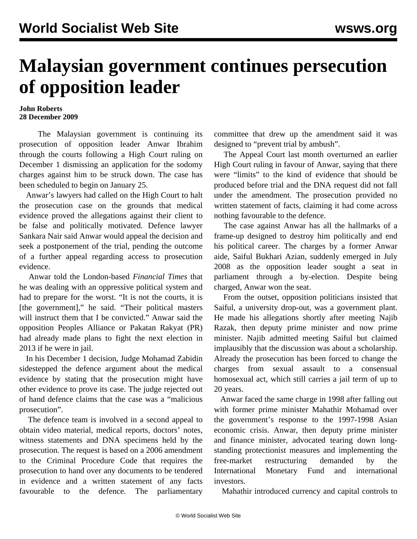## **Malaysian government continues persecution of opposition leader**

## **John Roberts 28 December 2009**

 The Malaysian government is continuing its prosecution of opposition leader Anwar Ibrahim through the courts following a High Court ruling on December 1 dismissing an application for the sodomy charges against him to be struck down. The case has been scheduled to begin on January 25.

 Anwar's lawyers had called on the High Court to halt the prosecution case on the grounds that medical evidence proved the allegations against their client to be false and politically motivated. Defence lawyer Sankara Nair said Anwar would appeal the decision and seek a postponement of the trial, pending the outcome of a further appeal regarding access to prosecution evidence.

 Anwar told the London-based *Financial Times* that he was dealing with an oppressive political system and had to prepare for the worst. "It is not the courts, it is [the government]," he said. "Their political masters will instruct them that I be convicted." Anwar said the opposition Peoples Alliance or Pakatan Rakyat (PR) had already made plans to fight the next election in 2013 if he were in jail.

 In his December 1 decision, Judge Mohamad Zabidin sidestepped the defence argument about the medical evidence by stating that the prosecution might have other evidence to prove its case. The judge rejected out of hand defence claims that the case was a "malicious prosecution".

 The defence team is involved in a second appeal to obtain video material, medical reports, doctors' notes, witness statements and DNA specimens held by the prosecution. The request is based on a 2006 amendment to the Criminal Procedure Code that requires the prosecution to hand over any documents to be tendered in evidence and a written statement of any facts favourable to the defence. The parliamentary

committee that drew up the amendment said it was designed to "prevent trial by ambush".

 The Appeal Court last month overturned an earlier High Court ruling in favour of Anwar, saying that there were "limits" to the kind of evidence that should be produced before trial and the DNA request did not fall under the amendment. The prosecution provided no written statement of facts, claiming it had come across nothing favourable to the defence.

 The case against Anwar has all the hallmarks of a frame-up designed to destroy him politically and end his political career. The charges by a former Anwar aide, Saiful Bukhari Azian, suddenly emerged in July 2008 as the opposition leader sought a seat in parliament through a by-election. Despite being charged, Anwar won the seat.

 From the outset, opposition politicians insisted that Saiful, a university drop-out, was a government plant. He made his allegations shortly after meeting Najib Razak, then deputy prime minister and now prime minister. Najib admitted meeting Saiful but claimed implausibly that the discussion was about a scholarship. Already the prosecution has been forced to change the charges from sexual assault to a consensual homosexual act, which still carries a jail term of up to 20 years.

 Anwar faced the same charge in 1998 after falling out with former prime minister Mahathir Mohamad over the government's response to the 1997-1998 Asian economic crisis. Anwar, then deputy prime minister and finance minister, advocated tearing down longstanding protectionist measures and implementing the free-market restructuring demanded by the International Monetary Fund and international investors.

Mahathir introduced currency and capital controls to